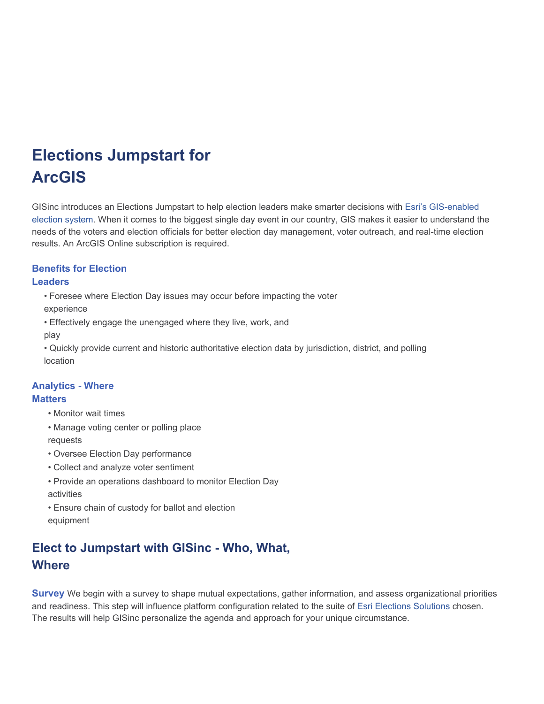# **Elections Jumpstart for ArcGIS**

GISinc introduces an Elections Jumpstart to help election leaders make smarter decisions with Esri's GIS-enabled election system. When it comes to the biggest single day event in our country, GIS makes it easier to understand the needs of the voters and election officials for better election day management, voter outreach, and real-time election results. An ArcGIS Online subscription is required.

## **Benefits for Election**

#### **Leaders**

• Foresee where Election Day issues may occur before impacting the voter

experience

• Effectively engage the unengaged where they live, work, and

play

• Quickly provide current and historic authoritative election data by jurisdiction, district, and polling location

### **Analytics - Where**

#### **Matters**

- Monitor wait times
- Manage voting center or polling place requests
- Oversee Election Day performance
- Collect and analyze voter sentiment
- Provide an operations dashboard to monitor Election Day activities
- Ensure chain of custody for ballot and election equipment

## **Elect to Jumpstart with GISinc - Who, What, Where**

**Survey** We begin with a survey to shape mutual expectations, gather information, and assess organizational priorities and readiness. This step will influence platform configuration related to the suite of Esri Elections Solutions chosen. The results will help GISinc personalize the agenda and approach for your unique circumstance.